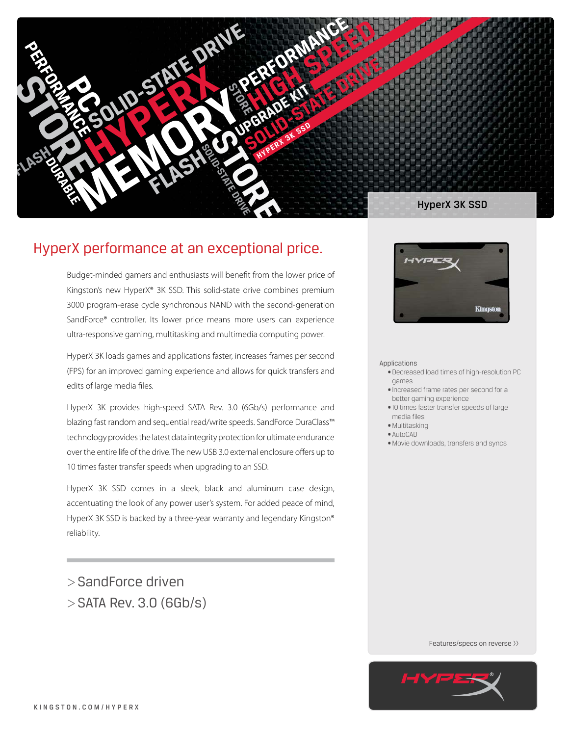

# HyperX performance at an exceptional price.

Budget-minded gamers and enthusiasts will benefit from the lower price of Kingston's new HyperX® 3K SSD. This solid-state drive combines premium 3000 program-erase cycle synchronous NAND with the second-generation SandForce® controller. Its lower price means more users can experience ultra-responsive gaming, multitasking and multimedia computing power.

HyperX 3K loads games and applications faster, increases frames per second (FPS) for an improved gaming experience and allows for quick transfers and edits of large media files.

HyperX 3K provides high-speed SATA Rev. 3.0 (6Gb/s) performance and blazing fast random and sequential read/write speeds. SandForce DuraClass™ technology provides the latest data integrity protection for ultimate endurance over the entire life of the drive. The new USB 3.0 external enclosure offers up to 10 times faster transfer speeds when upgrading to an SSD.

HyperX 3K SSD comes in a sleek, black and aluminum case design, accentuating the look of any power user's system. For added peace of mind, HyperX 3K SSD is backed by a three-year warranty and legendary Kingston® reliability.

>SandForce driven >SATA Rev. 3.0 (6Gb/s)



#### Applications

- • Decreased load times of high-resolution PC games
- • Increased frame rates per second for a better gaming experience
- • 10 times faster transfer speeds of large media files
- • Multitasking
- • AutoCAD
- • Movie downloads, transfers and syncs

Features/specs on reverse >>